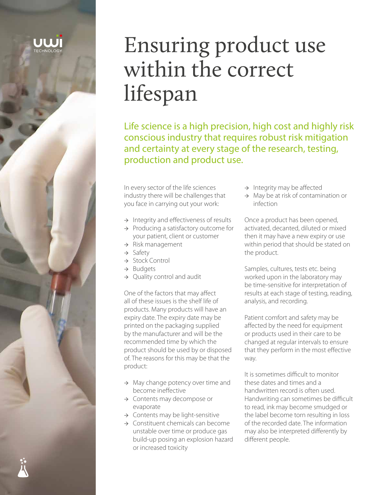

# Ensuring product use within the correct lifespan

Life science is a high precision, high cost and highly risk conscious industry that requires robust risk mitigation and certainty at every stage of the research, testing, production and product use.

In every sector of the life sciences industry there will be challenges that you face in carrying out your work:

- $\rightarrow$  Integrity and effectiveness of results
- → Producing a satisfactory outcome for your patient, client or customer
- $\rightarrow$  Risk management
- → Safety
- → Stock Control
- → Budgets
- $\rightarrow$  Quality control and audit

One of the factors that may affect all of these issues is the shelf life of products. Many products will have an expiry date. The expiry date may be printed on the packaging supplied by the manufacturer and will be the recommended time by which the product should be used by or disposed of. The reasons for this may be that the product:

- $\rightarrow$  May change potency over time and become ineffective
- → Contents may decompose or evaporate
- $\rightarrow$  Contents may be light-sensitive
- → Constituent chemicals can become unstable over time or produce gas build-up posing an explosion hazard or increased toxicity
- $\rightarrow$  Integrity may be affected
- $\rightarrow$  May be at risk of contamination or infection

Once a product has been opened, activated, decanted, diluted or mixed then it may have a new expiry or use within period that should be stated on the product.

Samples, cultures, tests etc. being worked upon in the laboratory may be time-sensitive for interpretation of results at each stage of testing, reading, analysis, and recording.

Patient comfort and safety may be affected by the need for equipment or products used in their care to be changed at regular intervals to ensure that they perform in the most effective way.

It is sometimes difficult to monitor these dates and times and a handwritten record is often used. Handwriting can sometimes be difficult to read, ink may become smudged or the label become torn resulting in loss of the recorded date. The information may also be interpreted differently by different people.